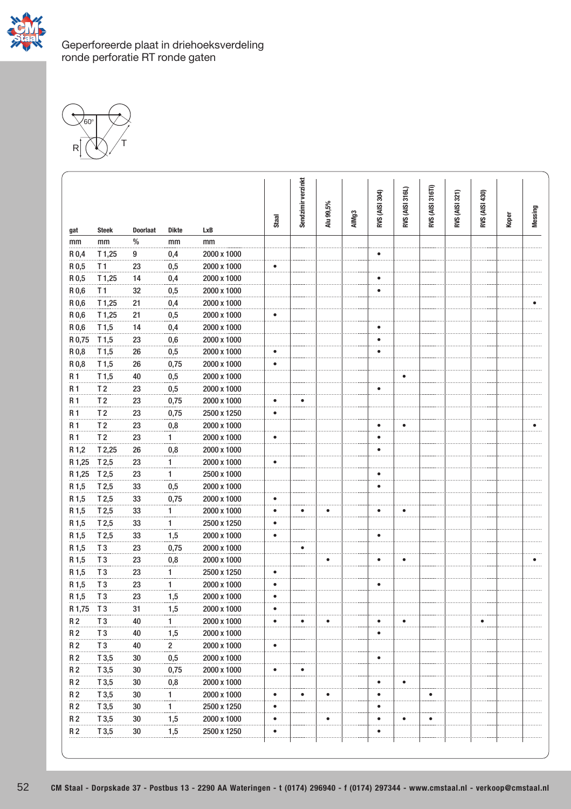



|                   |                    |                                  |                         |             | Staal     | Sendzimir verzinkt | Alu 99,5% | AIMg3 | RVS (AISI 304) | 316L)<br>RVS (AISI: | 316TI)<br>RVS (AISI: | 321)<br>RVS (AISI: | 430)<br>RVS (AISI | Koper | Messing |
|-------------------|--------------------|----------------------------------|-------------------------|-------------|-----------|--------------------|-----------|-------|----------------|---------------------|----------------------|--------------------|-------------------|-------|---------|
| gat<br>mm         | <b>Steek</b><br>mm | <b>Doorlaat</b><br>$\frac{0}{0}$ | <b>Dikte</b><br>mm      | LxB<br>mm   |           |                    |           |       |                |                     |                      |                    |                   |       |         |
| R <sub>0</sub> ,4 | T 1,25             | 9                                | 0,4                     | 2000 x 1000 |           |                    |           |       | ٠              |                     |                      |                    |                   |       |         |
| R <sub>0</sub> ,5 | T1                 | 23                               | 0,5                     | 2000 x 1000 | ٠         |                    |           |       |                |                     |                      |                    |                   |       |         |
| R <sub>0</sub> ,5 | T1.25              | 14                               | 0,4                     | 2000 x 1000 |           |                    |           |       |                |                     |                      |                    |                   |       |         |
| R 0,6             | T1                 | 32                               | 0,5                     | 2000 x 1000 |           |                    |           |       | $\bullet$      |                     |                      |                    |                   |       |         |
| R 0,6             | T1,25              | 21                               | 0,4                     | 2000 x 1000 |           |                    |           |       |                |                     |                      |                    |                   |       |         |
| R 0,6             | T1,25              | 21                               | 0,5                     | 2000 x 1000 | $\bullet$ |                    |           |       |                |                     |                      |                    |                   |       |         |
| R 0,6             | T1,5               | 14                               | 0,4                     | 2000 x 1000 |           |                    |           |       | ٠              |                     |                      |                    |                   |       |         |
| R 0.75            | T1.5               | 23                               | 0.6                     | 2000 x 1000 |           |                    |           |       | ٠              |                     |                      |                    |                   |       |         |
| R0,8              | T1,5               | 26                               | 0,5                     | 2000 x 1000 |           |                    |           |       | ٠              |                     |                      |                    |                   |       |         |
| R0.8              | T1.5               | 26                               | 0,75                    | 2000 x 1000 | ٠         |                    |           |       |                |                     |                      |                    |                   |       |         |
| R <sub>1</sub>    | T1,5               | 40                               | 0,5                     | 2000 x 1000 |           |                    |           |       |                | $\bullet$           |                      |                    |                   |       |         |
| R <sub>1</sub>    | T <sub>2</sub>     | 23                               | 0,5                     | 2000 x 1000 |           |                    |           |       | ٠              |                     |                      |                    |                   |       |         |
| R <sub>1</sub>    | T <sub>2</sub>     | 23                               | 0,75                    | 2000 x 1000 | ٠         |                    |           |       |                |                     |                      |                    |                   |       |         |
| <b>R1</b>         | T <sub>2</sub>     | 23                               | 0,75                    | 2500 x 1250 | $\bullet$ |                    |           |       |                |                     |                      |                    |                   |       |         |
| <b>R1</b>         | T <sub>2</sub>     | 23                               | 0,8                     | 2000 x 1000 |           |                    |           |       | ٠              | ٠                   |                      |                    |                   |       |         |
| R <sub>1</sub>    | T <sub>2</sub>     | 23                               | $\mathbf{1}$            | 2000 x 1000 | ٠         |                    |           |       | $\bullet$      |                     |                      |                    |                   |       |         |
| R <sub>1</sub> ,2 | T2,25              | 26                               | 0,8                     | 2000 x 1000 |           |                    |           |       | ٠              |                     |                      |                    |                   |       |         |
| R 1.25            | T <sub>2.5</sub>   | 23                               | $\mathbf{1}$            | 2000 x 1000 | $\bullet$ |                    |           |       |                |                     |                      |                    |                   |       |         |
| R 1,25            | T <sub>2,5</sub>   | $23\,$                           | 1                       | 2500 x 1000 |           |                    |           |       |                |                     |                      |                    |                   |       |         |
| R 1.5             | T <sub>2.5</sub>   | 33                               | 0,5                     | 2000 x 1000 |           |                    |           |       | ٠              |                     |                      |                    |                   |       |         |
| R <sub>1,5</sub>  | T <sub>2,5</sub>   | 33                               | 0,75                    | 2000 x 1000 | ٠         |                    |           |       |                |                     |                      |                    |                   |       |         |
| R 1,5             | T <sub>2,5</sub>   | 33                               | 1                       | 2000 x 1000 | $\bullet$ | ٠                  | ٠         |       | $\bullet$      | $\bullet$           |                      |                    |                   |       |         |
| R <sub>1,5</sub>  | T <sub>2,5</sub>   | 33                               | 1                       | 2500 x 1250 | ٠         |                    |           |       |                |                     |                      |                    |                   |       |         |
| R <sub>1.5</sub>  | T <sub>2.5</sub>   | 33                               | 1,5                     | 2000 x 1000 | $\bullet$ |                    |           |       |                |                     |                      |                    |                   |       |         |
| R 1,5             | T <sub>3</sub>     | 23                               | 0,75                    | 2000 x 1000 |           |                    |           |       |                |                     |                      |                    |                   |       |         |
| R 1,5             | T <sub>3</sub>     | 23                               | 0,8                     | 2000 x 1000 |           |                    | ٠         |       | $\bullet$      | $\bullet$           |                      |                    |                   |       |         |
| R <sub>1,5</sub>  | T <sub>3</sub>     | 23                               | 1                       | 2500 x 1250 | ٠         |                    |           |       |                |                     |                      |                    |                   |       |         |
| R 1,5             | T <sub>3</sub>     | 23                               | 1                       | 2000 x 1000 | ٠         |                    |           |       | ٠              |                     |                      |                    |                   |       |         |
| R 1,5             | T <sub>3</sub>     | 23                               | 1,5                     | 2000 x 1000 | $\bullet$ |                    |           |       |                |                     |                      |                    |                   |       |         |
| R 1.75            | T <sub>3</sub>     | 31                               | 1,5                     | 2000 x 1000 | $\bullet$ |                    |           |       |                |                     |                      |                    |                   |       |         |
| <b>R2</b>         | T <sub>3</sub>     | 40                               | 1                       | 2000 x 1000 | $\bullet$ | ٠                  | ٠         |       | $\bullet$      | ٠                   |                      |                    | ٠                 |       |         |
| R <sub>2</sub>    | T <sub>3</sub>     | 40                               | 1,5                     | 2000 x 1000 |           |                    |           |       | ٠              |                     |                      |                    |                   |       |         |
| R <sub>2</sub>    | T <sub>3</sub>     | 40                               | $\overline{\mathbf{c}}$ | 2000 x 1000 | $\bullet$ |                    |           |       |                |                     |                      |                    |                   |       |         |
| R <sub>2</sub>    | T3,5               | 30                               | 0,5                     | 2000 x 1000 |           |                    |           |       | ٠              |                     |                      |                    |                   |       |         |
| R <sub>2</sub>    | T 3,5              | 30                               | 0,75                    | 2000 x 1000 | $\bullet$ | ٠                  |           |       |                |                     |                      |                    |                   |       |         |
| R <sub>2</sub>    | T3,5               | 30                               | 0,8                     | 2000 x 1000 |           |                    |           |       | ٠<br>          | ٠                   |                      |                    |                   |       |         |
| R <sub>2</sub>    | T3,5               | 30                               | 1                       | 2000 x 1000 | ٠         | ٠                  | ٠         |       | ٠              |                     | ٠                    |                    |                   |       |         |
| <b>R2</b>         | T 3,5              | 30                               | 1                       | 2500 x 1250 | ٠         |                    |           |       | ٠              |                     |                      |                    |                   |       |         |
| R <sub>2</sub>    | T3,5               | 30                               | 1,5                     | 2000 x 1000 | ٠         |                    | ٠         |       | ٠              | ٠                   | ٠                    |                    |                   |       |         |
| R <sub>2</sub>    | T 3.5              | 30                               | 1,5                     | 2500 x 1250 |           |                    |           |       |                |                     |                      |                    |                   |       |         |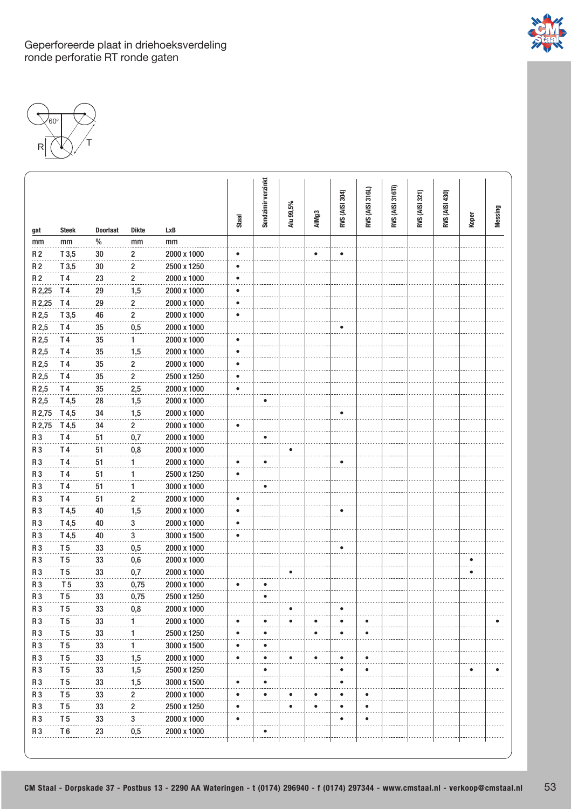



|                |                    |                         |                         |             | Staal      | Sendzimir verzinkt | Alu 99,5% | AIMg3     | RVS (AISI 304) | RVS (AISI 316L) | RVS (AISI 316TI) | 321)<br>RVS (AISI 3 | RVS (AISI 430) | Koper     | Messing |
|----------------|--------------------|-------------------------|-------------------------|-------------|------------|--------------------|-----------|-----------|----------------|-----------------|------------------|---------------------|----------------|-----------|---------|
| gat<br>mm      | <b>Steek</b><br>mm | <b>Doorlaat</b><br>$\%$ | <b>Dikte</b><br>mm      | LxB<br>mm   |            |                    |           |           |                |                 |                  |                     |                |           |         |
| R 2            | T 3,5              | 30                      | 2                       | 2000 x 1000 | ٠          |                    |           | ٠         | ٠              |                 |                  |                     |                |           |         |
| R <sub>2</sub> | T3,5               | 30                      | 2                       | 2500 x 1250 | ٠          |                    |           |           |                |                 |                  |                     |                |           |         |
| R <sub>2</sub> | T4                 | 23                      | 2                       | 2000 x 1000 | ٠          |                    |           |           |                |                 |                  |                     |                |           |         |
| R 2,25         | T4                 | 29                      | 1,5                     | 2000 x 1000 | ٠          |                    |           |           |                |                 |                  |                     |                |           |         |
| R 2.25         | T4                 | 29                      | 2                       | 2000 x 1000 | ٠          |                    |           |           |                |                 |                  |                     |                |           |         |
| R 2,5          | T 3,5              | 46                      | 2                       | 2000 x 1000 | $\bullet$  |                    |           |           |                |                 |                  |                     |                |           |         |
| R 2.5          | T <sub>4</sub>     | 35                      | 0,5                     | 2000 x 1000 |            |                    |           |           | ٠              |                 |                  |                     |                |           |         |
| R 2,5          | T <sub>4</sub>     | 35                      | 1                       | 2000 x 1000 | $\bullet$  |                    |           |           |                |                 |                  |                     |                |           |         |
| R 2,5          | T <sub>4</sub>     | 35                      | 1,5                     | 2000 x 1000 | ٠          |                    |           |           |                |                 |                  |                     |                |           |         |
| R 2.5          | T <sub>4</sub>     | 35                      | $\overline{2}$          | 2000 x 1000 | .<br>٠     |                    |           |           |                |                 |                  |                     |                |           |         |
| R 2,5          | T <sub>4</sub>     | 35                      | 2                       | 2500 x 1250 | $\bullet$  |                    |           |           |                |                 |                  |                     |                |           |         |
| R 2,5          | T4                 | 35                      | 2,5                     | 2000 x 1000 | ٠          |                    |           |           |                |                 |                  |                     |                |           |         |
| R 2.5          | T4.5               | 28                      | 1,5                     | 2000 x 1000 |            | $\bullet$          |           |           |                |                 |                  |                     |                |           |         |
| R 2,75         | T <sub>4,5</sub>   | 34                      | 1,5                     | 2000 x 1000 |            |                    |           |           | ٠              |                 |                  |                     |                |           |         |
| R 2.75         | T4.5               | 34                      | $\overline{2}$          | 2000 x 1000 | $\bullet$  |                    |           |           |                |                 |                  |                     |                |           |         |
| R <sub>3</sub> | T4                 | 51                      | 0,7                     | 2000 x 1000 |            | $\bullet$          |           |           |                |                 |                  |                     |                |           |         |
| R <sub>3</sub> | T <sub>4</sub>     | 51                      | 0,8                     | 2000 x 1000 |            |                    | ٠         |           |                |                 |                  |                     |                |           |         |
| R <sub>3</sub> | T <sub>4</sub>     | 51                      | 1                       | 2000 x 1000 | $\bullet$  | $\bullet$          |           |           | ٠              |                 |                  |                     |                |           |         |
| R <sub>3</sub> | T <sub>4</sub>     | 51                      | 1                       | 2500 x 1250 | $\bullet$  |                    |           |           |                |                 |                  |                     |                |           |         |
| R <sub>3</sub> | T <sub>4</sub>     | 51                      | 1                       | 3000 x 1000 |            | ٠                  |           |           |                |                 |                  |                     |                |           |         |
| R <sub>3</sub> | T4                 | 51                      | $\overline{\mathbf{c}}$ | 2000 x 1000 | ٠          |                    |           |           |                |                 |                  |                     |                |           |         |
| R 3            | T 4,5              | 40                      | 1,5                     | 2000 x 1000 | ٠          |                    |           |           | ٠              |                 |                  |                     |                |           |         |
| R <sub>3</sub> | T4.5               | 40                      | 3                       | 2000 x 1000 | $\bullet$  |                    |           |           |                |                 |                  |                     |                |           |         |
| R 3            | T 4,5              | 40                      | 3                       | 3000 x 1500 | $\bullet$  |                    |           |           |                |                 |                  |                     |                |           |         |
| R <sub>3</sub> | T <sub>5</sub>     | 33                      | 0,5                     | 2000 x 1000 |            |                    |           |           | ٠              |                 |                  |                     |                |           |         |
| R <sub>3</sub> | T <sub>5</sub>     | 33                      | 0,6                     | 2000 x 1000 |            |                    |           |           |                |                 |                  |                     |                | ٠         |         |
| R <sub>3</sub> | T <sub>5</sub>     | 33                      | 0,7                     | 2000 x 1000 |            |                    | ٠         |           |                |                 |                  |                     |                | $\bullet$ |         |
| R <sub>3</sub> | T <sub>5</sub>     | 33                      | 0,75                    | 2000 x 1000 | ٠          | ٠                  |           |           |                |                 |                  |                     |                |           |         |
| R <sub>3</sub> | T <sub>5</sub>     | 33                      | 0,75                    | 2500 x 1250 |            | ٠                  |           |           |                |                 |                  |                     |                |           |         |
| R <sub>3</sub> | T <sub>5</sub>     | 33                      | 0,8                     | 2000 x 1000 |            |                    | ٠         |           | ٠              |                 |                  |                     |                |           |         |
| R <sub>3</sub> | T <sub>5</sub>     | 33                      | 1                       | 2000 x 1000 | $\bullet$  | $\bullet$          | ٠         | $\bullet$ | ٠              | ٠               |                  |                     |                |           | ٠       |
| R <sub>3</sub> | T <sub>5</sub>     | 33                      | $\overline{1}$          | 2500 x 1250 | ٠          | ٠                  |           | ٠         | ٠              | ٠               |                  |                     |                |           |         |
| R <sub>3</sub> | T <sub>5</sub>     | 33                      | 1                       | 3000 x 1500 | ٠          | ٠                  |           |           |                |                 |                  |                     |                |           |         |
| R <sub>3</sub> | T <sub>5</sub>     | 33                      | 1,5                     | 2000 x 1000 | ٠          | ٠                  | ٠         | ٠         | ٠              | ٠               |                  |                     |                |           |         |
| R <sub>3</sub> | T <sub>5</sub>     | 33                      | 1,5                     | 2500 x 1250 |            | $\bullet$          |           |           | $\bullet$      | $\bullet$       |                  |                     |                |           |         |
| R <sub>3</sub> | T <sub>5</sub>     | 33                      | 1,5                     | 3000 x 1500 | ٠<br>1.1.1 | ٠                  |           |           | ٠              |                 |                  |                     |                |           |         |
| R <sub>3</sub> | T <sub>5</sub>     | 33                      | $\overline{2}$          | 2000 x 1000 | ٠          | $\bullet$          |           |           | ė              | ٠               |                  |                     |                |           |         |
| R <sub>3</sub> | T <sub>5</sub>     | 33                      | 2                       | 2500 x 1250 | ٠          |                    | ٠         | ٠         | ٠              | ٠               |                  |                     |                |           |         |
| R <sub>3</sub> | T <sub>5</sub>     | 33                      | 3                       | 2000 x 1000 | ٠          |                    |           |           | ٠              | ٠               |                  |                     |                |           |         |
| R <sub>3</sub> | T <sub>6</sub>     | 23                      | 0,5                     | 2000 x 1000 |            |                    |           |           |                |                 |                  |                     |                |           |         |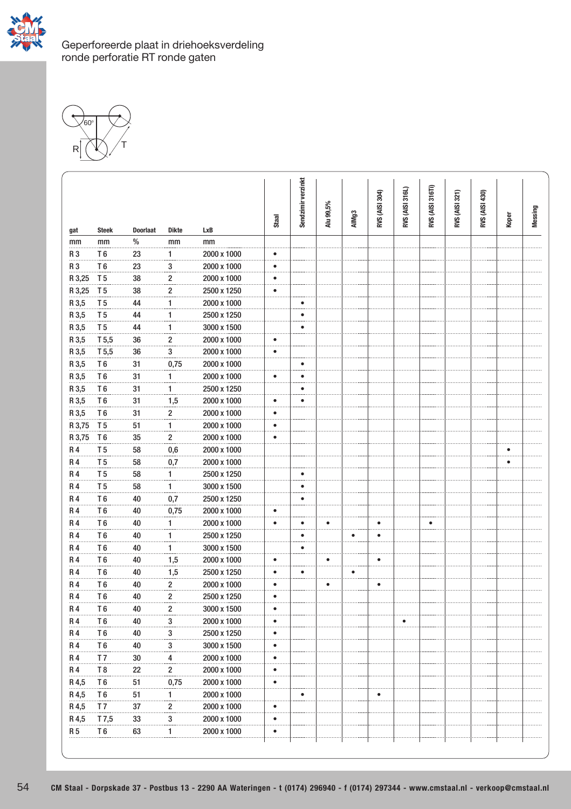



|                          |                                  |                      |                         |                            | <b>Staal</b> | Sendzimir verzinkt | Alu 99,5% | AIMg3 | RVS (AISI 304) | RVS (AISI 316L) | RVS (AISI 316TI) | 321)<br>RVS (AISI 3 | 430)<br>RVS (AISI | Koper | Messing |
|--------------------------|----------------------------------|----------------------|-------------------------|----------------------------|--------------|--------------------|-----------|-------|----------------|-----------------|------------------|---------------------|-------------------|-------|---------|
| gat                      | <b>Steek</b>                     | <b>Doorlaat</b><br>% | <b>Dikte</b>            | LxB                        |              |                    |           |       |                |                 |                  |                     |                   |       |         |
| mm<br>R <sub>3</sub>     | mm<br>T <sub>6</sub>             |                      | mm                      | mm<br>2000 x 1000          | $\bullet$    |                    |           |       |                |                 |                  |                     |                   |       |         |
|                          |                                  | 23<br>23             | 1<br>ò.                 |                            | ٠            |                    |           |       |                |                 |                  |                     |                   |       |         |
| R <sub>3</sub><br>R 3.25 | T <sub>6</sub><br>T <sub>5</sub> | 38                   | 3<br>$\overline{2}$     | 2000 x 1000<br>2000 x 1000 | $\bullet$    |                    |           |       |                |                 |                  |                     |                   |       |         |
| R 3,25                   | T <sub>5</sub>                   | 38                   | $\overline{\mathbf{c}}$ | 2500 x 1250                | $\bullet$    |                    |           |       |                |                 |                  |                     |                   |       |         |
| R 3,5                    | T <sub>5</sub>                   | 44                   | $\mathbf{1}$            | 2000 x 1000                |              | ٠                  |           |       |                |                 |                  |                     |                   |       |         |
| R 3,5                    | T <sub>5</sub>                   | 44                   |                         | 2500 x 1250                |              | ٠                  |           |       |                |                 |                  |                     |                   |       |         |
| R 3,5                    | T <sub>5</sub>                   | 44                   | $\overline{a}$<br>1     | 3000 x 1500                |              | ٠                  |           |       |                |                 |                  |                     |                   |       |         |
| R 3,5                    | T 5,5                            | 36                   | $\overline{\mathbf{c}}$ | 2000 x 1000                | ٠            |                    |           |       |                |                 |                  |                     |                   |       |         |
| R 3,5                    | T 5,5                            | 36                   | 3                       | 2000 x 1000                | $\bullet$    |                    |           |       |                |                 |                  |                     |                   |       |         |
| R 3,5                    | T <sub>6</sub>                   | 31                   | 0,75                    | 2000 x 1000                |              | ٠                  |           |       |                |                 |                  |                     |                   |       |         |
| R 3,5                    | T <sub>6</sub>                   | 31                   | 1                       | 2000 x 1000                | $\bullet$    | $\bullet$          |           |       |                |                 |                  |                     |                   |       |         |
| R 3,5                    | T <sub>6</sub>                   | 31                   | 1                       | 2500 x 1250                |              | ٠                  |           |       |                |                 |                  |                     |                   |       |         |
| R 3,5                    | T6                               | 31                   | 1,5                     | 2000 x 1000                | ٠            | $\bullet$          |           |       |                |                 |                  |                     |                   |       |         |
| R 3,5                    | T <sub>6</sub>                   | 31                   | $\overline{\mathbf{2}}$ | 2000 x 1000                | $\bullet$    |                    |           |       |                |                 |                  |                     |                   |       |         |
| R 3,75                   | T <sub>5</sub>                   | 51                   | 1                       | 2000 x 1000                | ٠            |                    |           |       |                |                 |                  |                     |                   |       |         |
| R 3.75                   | T <sub>6</sub>                   | 35                   | $\overline{\mathbf{c}}$ | 2000 x 1000                | ٠            |                    |           |       |                |                 |                  |                     |                   |       |         |
| R4                       | T <sub>5</sub>                   | 58                   | 0,6                     | 2000 x 1000                |              |                    |           |       |                |                 |                  |                     |                   |       |         |
| R4                       | T <sub>5</sub>                   | 58                   | 0,7                     | 2000 x 1000                |              |                    |           |       |                |                 |                  |                     |                   | ٠     |         |
| R4                       | T <sub>5</sub>                   | 58                   | 1                       | 2500 x 1250                |              | ٠                  |           |       |                |                 |                  |                     |                   |       |         |
| R4                       | T <sub>5</sub>                   | 58                   | $\mathbf{1}$            | 3000 x 1500                |              | $\bullet$          |           |       |                |                 |                  |                     |                   |       |         |
| R4                       | T <sub>6</sub>                   | 40                   | 0,7                     | 2500 x 1250                |              | ٠                  |           |       |                |                 |                  |                     |                   |       |         |
| R4                       | T <sub>6</sub>                   | 40                   | 0,75                    | 2000 x 1000                | ٠            |                    |           |       |                |                 |                  |                     |                   |       |         |
| R4                       | T <sub>6</sub>                   | 40                   | 1                       | 2000 x 1000                | $\bullet$    | ٠                  | ٠         |       | ٠              |                 | ٠                |                     |                   |       |         |
| R4                       | T <sub>6</sub>                   | 40                   | 1                       | 2500 x 1250                |              | ٠                  |           | ٠     | ٠              |                 |                  |                     |                   |       |         |
| R4                       | T <sub>6</sub>                   | 40                   | $\mathbf{1}$            | 3000 x 1500                |              | ٠                  |           |       |                |                 |                  |                     |                   |       |         |
| R4                       | T <sub>6</sub>                   | 40                   | 1,5                     | 2000 x 1000                | ٠            |                    | ٠         |       | ٠              |                 |                  |                     |                   |       |         |
| R4                       | T <sub>6</sub>                   | 40                   | 1,5                     | 2500 x 1250                | ٠            | ٠                  |           | ٠     |                |                 |                  |                     |                   |       |         |
| R4                       | T <sub>6</sub>                   | 40                   | 2                       | 2000 x 1000                | ٠            |                    | ٠         |       | $\bullet$      |                 |                  |                     |                   |       |         |
| R4                       | T <sub>6</sub>                   | 40                   | $\overline{\mathbf{2}}$ | 2500 x 1250                | ٠            |                    |           |       |                |                 |                  |                     |                   |       |         |
| R4                       | T <sub>6</sub>                   | 40                   | $\overline{2}$          | 3000 x 1500                | ٠            |                    |           |       |                |                 |                  |                     |                   |       |         |
| R4                       | T <sub>6</sub>                   | 40                   | 3                       | 2000 x 1000                | $\bullet$    |                    |           |       |                | $\bullet$       |                  |                     |                   |       |         |
| R4                       | T <sub>6</sub>                   | 40                   | 3                       | 2500 x 1250                | ٠            |                    |           |       |                |                 |                  |                     |                   |       |         |
| R4                       | T <sub>6</sub>                   | 40                   | 3                       | 3000 x 1500                | $\bullet$    |                    |           |       |                |                 |                  |                     |                   |       |         |
| R4                       | T7                               | 30                   | 4                       | 2000 x 1000                | ٠            |                    |           |       |                |                 |                  |                     |                   |       |         |
| R4                       | T <sub>8</sub>                   | 22                   | $\overline{\mathbf{c}}$ | 2000 x 1000                | ٠            |                    |           |       |                |                 |                  |                     |                   |       |         |
| R4,5                     | T <sub>6</sub>                   | 51                   | 0,75                    | 2000 x 1000                | ٠            |                    |           |       |                |                 |                  |                     |                   |       |         |
| R4,5                     | T <sub>6</sub>                   | 51                   | 1                       | 2000 x 1000                |              | ٠                  |           |       | ٠              |                 |                  |                     |                   |       |         |
| R4,5                     | T <sub>7</sub>                   | 37                   | $\overline{\mathbf{c}}$ | 2000 x 1000                | ٠            |                    |           |       |                |                 |                  |                     |                   |       |         |
| R4,5                     | T 7,5                            | 33                   | 3                       | 2000 x 1000                | $\bullet$    |                    |           |       |                |                 |                  |                     |                   |       |         |
| R 5                      | T <sub>6</sub>                   | 63                   | 1                       | 2000 x 1000                | ٠            |                    |           |       |                |                 |                  |                     |                   |       |         |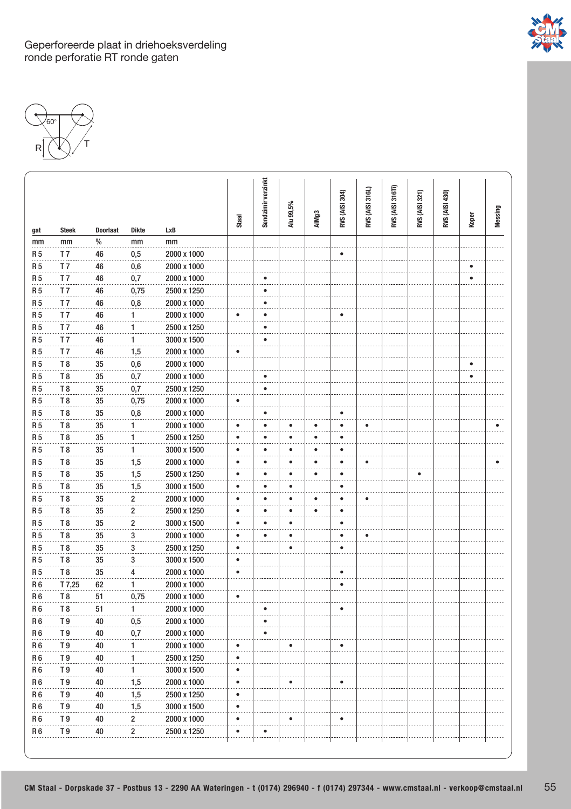



|                                  |                                  |                 |                     |                            | Staal          | Sendzimir verzinkt | Alu 99,5% | AIMg3 | RVS (AISI 304) | RVS (AISI 316L) | (MSI 316T)<br>RVS <sub>I</sub> | (AISI 321)<br>RVS <sub>(</sub> | RVS (AISI 430) | Koper | Messing |
|----------------------------------|----------------------------------|-----------------|---------------------|----------------------------|----------------|--------------------|-----------|-------|----------------|-----------------|--------------------------------|--------------------------------|----------------|-------|---------|
| gat                              | <b>Steek</b>                     | <b>Doorlaat</b> | <b>Dikte</b>        | <b>LxB</b>                 |                |                    |           |       |                |                 |                                |                                |                |       |         |
| mm                               | mm                               | $\%$            | mm                  | mm                         |                |                    |           |       |                |                 |                                |                                |                |       |         |
| <b>R5</b>                        | T <sub>7</sub>                   | 46              | 0,5                 | 2000 x 1000                |                |                    |           |       | $\bullet$      |                 |                                |                                |                |       |         |
| <b>R5</b>                        | T <sub>7</sub>                   | 46              | 0,6                 | 2000 x 1000                |                |                    |           |       |                |                 |                                |                                |                |       |         |
| R <sub>5</sub>                   | T <sub>7</sub>                   | 46              | 0,7                 | 2000 x 1000                |                | ٠                  |           |       |                |                 |                                |                                |                | ٠     |         |
| <b>R5</b>                        | T <sub>7</sub>                   | 46              | 0,75                | 2500 x 1250                |                | ٠                  |           |       |                |                 |                                |                                |                |       |         |
| R 5                              | T7                               | 46              | 0,8                 | 2000 x 1000                |                | ٠                  |           |       |                |                 |                                |                                |                |       |         |
| R <sub>5</sub>                   | T <sub>7</sub>                   | 46              | $\mathbf{1}$        | 2000 x 1000                | $\bullet$      | ٠                  |           |       | ٠              |                 |                                |                                |                |       |         |
| R <sub>5</sub>                   | T <sub>7</sub>                   | 46              | 1                   | 2500 x 1250                |                |                    |           |       |                |                 |                                |                                |                |       |         |
| R <sub>5</sub>                   | T <sub>7</sub>                   | 46              | 1                   | 3000 x 1500                |                | ٠                  |           |       |                |                 |                                |                                |                |       |         |
| <b>R5</b>                        | T <sub>7</sub>                   | 46              | 1,5                 | 2000 x 1000                | $\bullet$      |                    |           |       |                |                 |                                |                                |                |       |         |
| R <sub>5</sub>                   | T <sub>8</sub>                   | 35              | 0,6                 | 2000 x 1000                |                |                    |           |       |                |                 |                                |                                |                | ٠     |         |
| <b>R5</b>                        | T <sub>8</sub>                   | 35              | 0,7                 | 2000 x 1000                |                | ٠                  |           |       |                |                 |                                |                                |                | ٠     |         |
| R <sub>5</sub>                   | T <sub>8</sub>                   | 35              | 0,7                 | 2500 x 1250                |                | ٠                  |           |       |                |                 |                                |                                |                |       |         |
| R <sub>5</sub>                   | T <sub>8</sub>                   | 35              | 0,75                | 2000 x 1000                | $\bullet$      |                    |           |       |                |                 |                                |                                |                |       |         |
| <b>R5</b>                        | T <sub>8</sub>                   | 35              | 0,8                 | 2000 x 1000                |                | ٠                  |           |       | ٠              |                 |                                |                                |                |       |         |
| <b>R5</b>                        | T <sub>8</sub>                   | 35              | 1                   | 2000 x 1000                | $\bullet$      | ٠                  |           |       | ٠              | $\bullet$       |                                |                                |                |       |         |
| <b>R5</b>                        | T <sub>8</sub>                   | 35              | $\overline{1}$      | 2500 x 1250                | ٠              | ٠                  | ٠         | ٠     | ٠              |                 |                                |                                |                |       |         |
| R 5                              | T8                               | 35              | 1                   | 3000 x 1500                | ٠              | ٠                  | ٠         | ٠     | ٠              |                 |                                |                                |                |       |         |
| R <sub>5</sub>                   | T <sub>8</sub>                   | 35              | 1,5                 | 2000 x 1000                | $\bullet$      | ٠                  | $\bullet$ | ٠     | ٠              | $\bullet$       |                                |                                |                |       |         |
| <b>R5</b>                        | T <sub>8</sub>                   | 35              | 1,5                 | 2500 x 1250                | ٠              | ٠                  | ٠         | ٠     | ٠              |                 |                                | ٠                              |                |       |         |
| R <sub>5</sub>                   | T <sub>8</sub>                   | 35              | 1,5                 | 3000 x 1500                | $\bullet$      | $\bullet$          | $\bullet$ |       | $\bullet$      |                 |                                |                                |                |       |         |
| <b>R5</b>                        | T <sub>8</sub>                   | 35              | 2                   | 2000 x 1000                | $\bullet$      | ٠                  | $\bullet$ | ٠     | ٠              | $\bullet$       |                                |                                |                |       |         |
| <b>R5</b>                        | T <sub>8</sub><br>T <sub>8</sub> | 35              | 2<br>$\overline{2}$ | 2500 x 1250                | ٠              | ٠<br>٠             | ٠         | ٠     | ٠              |                 |                                |                                |                |       |         |
| R <sub>5</sub>                   |                                  | 35              |                     | 3000 x 1500                | $\bullet$      |                    | $\bullet$ |       | $\bullet$      |                 |                                |                                |                |       |         |
| R <sub>5</sub><br>R <sub>5</sub> | T <sub>8</sub><br>T <sub>8</sub> | 35              | 3                   | 2000 x 1000<br>2500 x 1250 | $\bullet$<br>٠ |                    | ٠<br>٠    |       | ٠              | ٠               |                                |                                |                |       |         |
| <b>R5</b>                        | T <sub>8</sub>                   | 35<br>35        | 3<br>3              | 3000 x 1500                | $\bullet$      |                    |           |       | ٠              |                 |                                |                                |                |       |         |
| <b>R5</b>                        | T <sub>8</sub>                   | 35              | 4                   | 2000 x 1000                | $\bullet$      |                    |           |       | ٠              |                 |                                |                                |                |       |         |
| R <sub>6</sub>                   | T 7,25                           | 62              | 1                   | 2000 x 1000                |                |                    |           |       | ٠              |                 |                                |                                |                |       |         |
| R <sub>6</sub>                   | T <sub>8</sub>                   | 51              | 0,75                | 2000 x 1000                | $\bullet$      |                    |           |       |                |                 |                                |                                |                |       |         |
| <b>R6</b>                        | T <sub>8</sub>                   | 51              | 1                   | 2000 x 1000                |                | ٠                  |           |       | ٠              |                 |                                |                                |                |       |         |
| <b>R6</b>                        | T <sub>9</sub>                   | 40              | 0,5                 | 2000 x 1000                |                | ٠                  |           |       |                |                 |                                |                                |                |       |         |
| <b>R6</b>                        | T <sub>9</sub>                   | 40              | 0,7                 | 2000 x 1000                |                | i.<br>$\bullet$    |           |       |                |                 |                                |                                |                |       |         |
| R <sub>6</sub>                   | T <sub>9</sub>                   | 40              | 1                   | 2000 x 1000                | ٠              |                    | ٠         |       | ٠              |                 |                                |                                |                |       |         |
| <b>R6</b>                        | T <sub>9</sub>                   | 40              | 1                   | 2500 x 1250                | ٠              |                    |           |       |                |                 |                                |                                |                |       |         |
| <b>R6</b>                        | T 9                              | 40              | 1                   | 3000 x 1500                | $\bullet$      |                    |           |       |                |                 |                                |                                |                |       |         |
| <b>R6</b>                        | T <sub>9</sub>                   | 40              | 1,5                 | 2000 x 1000                | ٠              |                    | ٠         |       | $\bullet$      |                 |                                |                                |                |       |         |
| <b>R6</b>                        | T <sub>9</sub>                   | 40              | 1,5                 | 2500 x 1250                | $\bullet$      |                    |           |       |                |                 |                                |                                |                |       |         |
| <b>R6</b>                        | T <sub>9</sub>                   | 40              | 1,5                 | 3000 x 1500                | $\bullet$      |                    |           |       |                |                 |                                |                                |                |       |         |
| R <sub>6</sub>                   | T <sub>9</sub>                   | 40              | 2                   | 2000 x 1000                | ٠              |                    | ٠         |       | ٠              |                 |                                |                                |                |       |         |
| <b>R6</b>                        | T <sub>9</sub>                   | 40              | $\overline{2}$      | 2500 x 1250                | $\bullet$      |                    |           |       |                |                 |                                |                                |                |       |         |
|                                  |                                  |                 |                     |                            |                |                    |           |       |                |                 |                                |                                |                |       |         |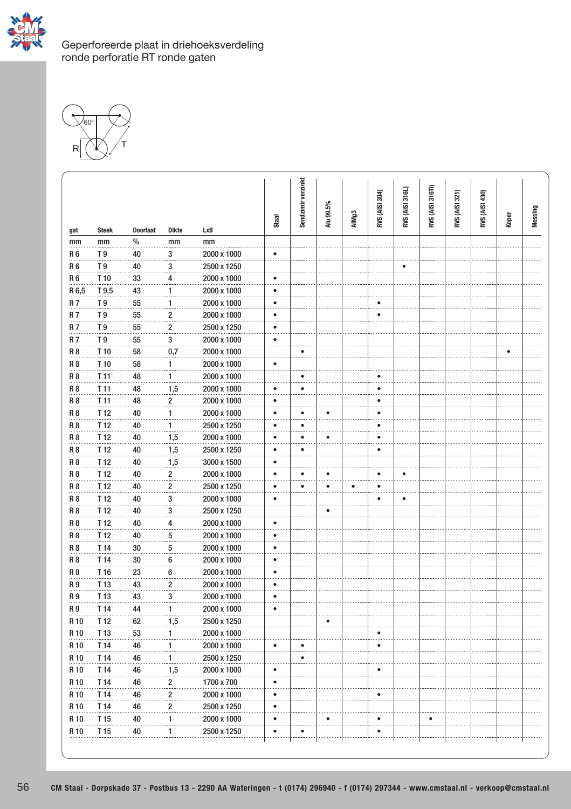



|                 | <b>Steek</b>    | <b>Doorlaat</b> | <b>Dikte</b>            | <b>LxB</b>  | Staal         | Sendzimir verzinkt | Alu 99,5% | AIMg3 | RVS (AISI 304)     | RVS (AISI 316L) | <b>RVS (AISI 316TI)</b> | <b>RVS (AISI 321)</b> | 430)<br>RVS (AISI | Koper | Messing |
|-----------------|-----------------|-----------------|-------------------------|-------------|---------------|--------------------|-----------|-------|--------------------|-----------------|-------------------------|-----------------------|-------------------|-------|---------|
| gat<br>mm       | mm              | $\%$            | mm                      | mm          |               |                    |           |       |                    |                 |                         |                       |                   |       |         |
| R <sub>6</sub>  | T <sub>9</sub>  | 40              | 3                       | 2000 x 1000 | ٠             |                    |           |       |                    |                 |                         |                       |                   |       |         |
| <b>R6</b>       | T <sub>9</sub>  | 40              | 3                       | 2500 x 1250 |               |                    |           |       |                    | ٠               |                         |                       |                   |       |         |
| R <sub>6</sub>  | T10             | 33              | 4                       | 2000 x 1000 | ٠             |                    |           |       |                    |                 |                         |                       |                   |       |         |
| R6,5            | T 9,5           | 43              | $\overline{1}$          | 2000 x 1000 | $\bullet$     |                    |           |       |                    |                 |                         |                       |                   |       |         |
| <b>R7</b>       | T <sub>9</sub>  | 55              | $\overline{1}$          | 2000 x 1000 | <br>$\bullet$ |                    |           |       | ٠                  |                 |                         |                       |                   |       |         |
| <b>R7</b>       | T <sub>9</sub>  | 55              | $\overline{2}$          | 2000 x 1000 | ٠             |                    |           |       | ٠                  |                 |                         |                       |                   |       |         |
| <b>R7</b>       | T <sub>9</sub>  | 55              | $\overline{\mathbf{c}}$ | 2500 x 1250 | $\bullet$     |                    |           |       |                    |                 |                         |                       |                   |       |         |
| <b>R7</b>       | T <sub>9</sub>  | 55              | 3                       | 2000 x 1000 | ٠             |                    |           |       |                    |                 |                         |                       |                   |       |         |
| R <sub>8</sub>  | T10             | 58              | 0,7                     | 2000 x 1000 |               | ٠                  |           |       |                    |                 |                         |                       |                   |       |         |
| R <sub>8</sub>  | T10             | 58              | 1                       | 2000 x 1000 | 1.1.1.1<br>٠  |                    |           |       |                    |                 |                         |                       |                   |       |         |
| R <sub>8</sub>  | T <sub>11</sub> | 48              | $\mathbf{1}$            | 2000 x 1000 |               | ٠                  |           |       | ٠                  |                 |                         |                       |                   |       |         |
| <b>R8</b>       | T <sub>11</sub> | 48              | 1,5                     | 2000 x 1000 | ٠             | ٠                  |           |       | ٠                  |                 |                         |                       |                   |       |         |
| R <sub>8</sub>  | T <sub>11</sub> | 48              | $\overline{2}$          | 2000 x 1000 | $\bullet$     |                    |           |       | $\bullet$          |                 |                         |                       |                   |       |         |
| R <sub>8</sub>  | T <sub>12</sub> | 40              | $\overline{1}$          | 2000 x 1000 | ٠             | ٠                  | ٠         |       | ٠                  |                 |                         |                       |                   |       |         |
| <b>R8</b>       | T <sub>12</sub> | 40              | $\mathbf{1}$            | 2500 x 1250 | ٠             | ٠                  |           |       | i i i<br>$\bullet$ |                 |                         |                       |                   |       |         |
| R <sub>8</sub>  | T <sub>12</sub> | 40              | 1,5                     | 2000 x 1000 | ٠             | ٠                  | ٠         |       | ٠                  |                 |                         |                       |                   |       |         |
| <b>R8</b>       | T <sub>12</sub> | 40              | 1,5                     | 2500 x 1250 | ٠             | ٠                  |           |       | ٠                  |                 |                         |                       |                   |       |         |
| R <sub>8</sub>  | T <sub>12</sub> | 40              | 1,5                     | 3000 x 1500 | ٠             |                    |           |       |                    |                 |                         |                       |                   |       |         |
| R <sub>8</sub>  | T <sub>12</sub> | 40              | $\overline{\mathbf{c}}$ | 2000 x 1000 | ٠             |                    | ٠         |       | ٠                  | ٠               |                         |                       |                   |       |         |
| R <sub>8</sub>  | T <sub>12</sub> | 40              | $\overline{2}$          | 2500 x 1250 | ٠             | ٠                  | ٠         |       | ٠                  |                 |                         |                       |                   |       |         |
| R <sub>8</sub>  | T <sub>12</sub> | 40              | 3                       | 2000 x 1000 | ٠             |                    |           |       | ٠                  | $\bullet$       |                         |                       |                   |       |         |
| R <sub>8</sub>  | T <sub>12</sub> | 40              | 3                       | 2500 x 1250 |               |                    | ٠         |       |                    |                 |                         |                       |                   |       |         |
| R <sub>8</sub>  | T <sub>12</sub> | 40              | 4                       | 2000 x 1000 | ٠             |                    |           |       |                    |                 |                         |                       |                   |       |         |
| R <sub>8</sub>  | T <sub>12</sub> | 40              | 5                       | 2000 x 1000 | ٠             |                    |           |       |                    |                 |                         |                       |                   |       |         |
| R <sub>8</sub>  | T <sub>14</sub> | 30              | 5                       | 2000 x 1000 | $\cdots$<br>٠ |                    |           |       |                    |                 |                         |                       |                   |       |         |
| R <sub>8</sub>  | T <sub>14</sub> | 30              | 6                       | 2000 x 1000 | $\bullet$     |                    |           |       |                    |                 |                         |                       |                   |       |         |
| R <sub>8</sub>  | T 16            | 23              | 6                       | 2000 x 1000 | <br>٠         |                    |           |       |                    |                 |                         |                       |                   |       |         |
| <b>R9</b>       | T <sub>13</sub> | 43              | $\overline{2}$          | 2000 x 1000 | $\bullet$     |                    |           |       |                    |                 |                         |                       |                   |       |         |
| R9              | T <sub>13</sub> | 43              | 3                       | 2000 x 1000 | ٠             |                    |           |       |                    |                 |                         |                       |                   |       |         |
| <b>R9</b>       | T <sub>14</sub> | 44              | $\mathbf{1}$            | 2000 x 1000 | $\bullet$     |                    |           |       |                    |                 |                         |                       |                   |       |         |
| R 10            | T <sub>12</sub> | 62              | 1,5                     | 2500 x 1250 |               |                    | ٠         |       |                    |                 |                         |                       |                   |       |         |
| R <sub>10</sub> | T <sub>13</sub> | 53              | 1                       | 2000 x 1000 |               |                    |           |       | ٠                  |                 |                         |                       |                   |       |         |
| R <sub>10</sub> | T <sub>14</sub> | 46              | 1                       | 2000 x 1000 | ٠             | ٠                  |           |       | $\bullet$          |                 |                         |                       |                   |       |         |
| R <sub>10</sub> | T <sub>14</sub> | 46              | 1                       | 2500 x 1250 |               | ٠                  |           |       |                    |                 |                         |                       |                   |       |         |
| R 10            | T <sub>14</sub> | 46              | 1,5                     | 2000 x 1000 | <br>$\bullet$ |                    |           |       | ٠                  |                 |                         |                       |                   |       |         |
| R <sub>10</sub> | T <sub>14</sub> | 46              | $\overline{\mathbf{c}}$ | 1700 x 700  | ٠             |                    |           |       |                    |                 |                         |                       |                   |       |         |
| R <sub>10</sub> | T <sub>14</sub> | 46              | $\overline{\mathbf{c}}$ | 2000 x 1000 | ٠             |                    |           |       | ٠                  |                 |                         |                       |                   |       |         |
| R <sub>10</sub> | T <sub>14</sub> | 46              | $\overline{2}$          | 2500 x 1250 | $\bullet$     |                    |           |       |                    |                 |                         |                       |                   |       |         |
| R 10            | T 15            | 40              | 1                       | 2000 x 1000 | $\bullet$     |                    | $\bullet$ |       | $\bullet$          |                 | $\bullet$               |                       |                   |       |         |
| R <sub>10</sub> | T 15            | 40              | $\mathbf{1}$            | 2500 x 1250 | ٠             |                    |           |       | ٠                  |                 |                         |                       |                   |       |         |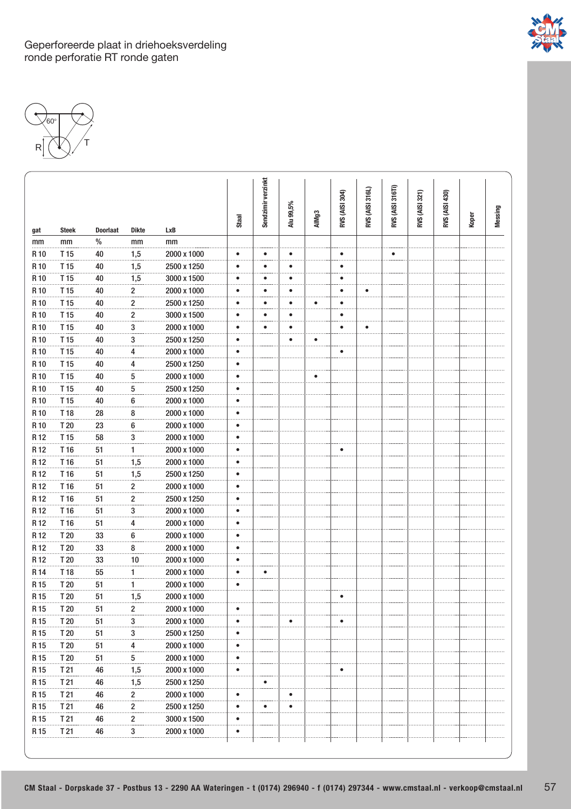



|                 |                                    |                 |                              |                            | <b>Staal</b>   | Sendzimir verzinkt | $99,5\%$<br>å | AIMg3     | RVS (AISI 304) | RVS (AISI 316L) | RVS (AISI 316TI) | <b>RVS (AISI 321)</b> | RVS (AISI 430) | Koper | Messing |
|-----------------|------------------------------------|-----------------|------------------------------|----------------------------|----------------|--------------------|---------------|-----------|----------------|-----------------|------------------|-----------------------|----------------|-------|---------|
| gat             | <b>Steek</b>                       | <b>Doorlaat</b> | <b>Dikte</b>                 | LxB                        |                |                    |               |           |                |                 |                  |                       |                |       |         |
| mm              | mm                                 | $\%$            | mm                           | mm                         |                |                    |               |           |                |                 |                  |                       |                |       |         |
| R 10            | T <sub>15</sub>                    | 40              | 1,5                          | 2000 x 1000                | $\bullet$<br>٠ | $\bullet$<br>٠     | $\bullet$     |           | ٠<br>٠         |                 | $\bullet$        |                       |                |       |         |
| R 10<br>R 10    | T <sub>15</sub><br>T <sub>15</sub> | 40<br>40        | 1,5<br>1,5                   | 2500 x 1250<br>3000 x 1500 | ٠              | ٠                  | ٠<br>٠        |           | ٠              |                 |                  |                       |                |       |         |
| R 10            | T <sub>15</sub>                    | 40              | 2                            | 2000 x 1000                | ٠              | $\bullet$          | ٠             |           | ٠              | $\bullet$       |                  |                       |                |       |         |
| R 10            | T <sub>15</sub>                    |                 |                              | 2500 x 1250                | ٠              | ٠                  | ٠             | ٠         | ٠              |                 |                  |                       |                |       |         |
| R 10            | T <sub>15</sub>                    | 40<br>40        | 2<br>2                       | 3000 x 1500                | ٠              | ٠                  | ٠             |           | ٠              |                 |                  |                       |                |       |         |
| R 10            | T <sub>15</sub>                    | 40              | 3                            | 2000 x 1000                | ٠              | ٠                  | ٠             |           | ċ              | ٠               |                  |                       |                |       |         |
| R 10            | T <sub>15</sub>                    | 40              | 3                            | 2500 x 1250                | ٠              |                    | $\bullet$     | $\bullet$ |                |                 |                  |                       |                |       |         |
| R 10            | T <sub>15</sub>                    | 40              |                              | 2000 x 1000                | ٠              |                    |               |           | ٠              |                 |                  |                       |                |       |         |
| R 10            | T <sub>15</sub>                    | 40              | $\overline{4}$<br>4          | 2500 x 1250                | $\cdots$<br>٠  |                    |               |           |                |                 |                  |                       |                |       |         |
| R 10            | T <sub>15</sub>                    | 40              | 5                            | 2000 x 1000                | ٠              |                    |               | ٠         |                |                 |                  |                       |                |       |         |
| R 10            | T 15                               | 40              | 5                            | 2500 x 1250                | ٠              |                    |               |           |                |                 |                  |                       |                |       |         |
| R 10            | T <sub>15</sub>                    | 40              | 6                            | 2000 x 1000                | ٠              |                    |               |           |                |                 |                  |                       |                |       |         |
| R 10            | T 18                               | 28              | 8                            | 2000 x 1000                | $\bullet$      |                    |               |           |                |                 |                  |                       |                |       |         |
| R 10            | T 20                               | 23              | 6                            | 2000 x 1000                | ٠              |                    |               |           |                |                 |                  |                       |                |       |         |
| R <sub>12</sub> | T <sub>15</sub>                    | 58              |                              | 2000 x 1000                | ٠              |                    |               |           |                |                 |                  |                       |                |       |         |
| R <sub>12</sub> | T <sub>16</sub>                    | 51              | $\overline{\mathbf{3}}$<br>1 | 2000 x 1000                | ٠              |                    |               |           | ٠              |                 |                  |                       |                |       |         |
| R <sub>12</sub> | T 16                               | 51              | 1,5                          | 2000 x 1000                | $\bullet$      |                    |               |           |                |                 |                  |                       |                |       |         |
| R <sub>12</sub> | T <sub>16</sub>                    | 51              | 1,5                          | 2500 x 1250                | $\bullet$      |                    |               |           |                |                 |                  |                       |                |       |         |
| R <sub>12</sub> | T <sub>16</sub>                    | 51              | 2                            | 2000 x 1000                | $\cdots$<br>٠  |                    |               |           |                |                 |                  |                       |                |       |         |
| R <sub>12</sub> | T <sub>16</sub>                    | 51              | $\overline{\mathbf{c}}$      | 2500 x 1250                | ٠              |                    |               |           |                |                 |                  |                       |                |       |         |
| R 12            | T 16                               | 51              | 3                            | 2000 x 1000                | ٠              |                    |               |           |                |                 |                  |                       |                |       |         |
| R 12            | T 16                               | 51              | 4                            | 2000 x 1000                | $\bullet$      |                    |               |           |                |                 |                  |                       |                |       |         |
| R 12            | T 20                               | 33              | 6                            | 2000 x 1000                | ٠              |                    |               |           |                |                 |                  |                       |                |       |         |
| R 12            | T 20                               | 33              | 8                            | 2000 x 1000                | ٠              |                    |               |           |                |                 |                  |                       |                |       |         |
| R <sub>12</sub> | T 20                               | 33              | 10                           | 2000 x 1000                | $\bullet$      |                    |               |           |                |                 |                  |                       |                |       |         |
| R 14            | T <sub>18</sub>                    | 55              | $\overline{a}$               | 2000 x 1000                | ٠              | ٠                  |               |           |                |                 |                  |                       |                |       |         |
| R 15            | T 20                               | 51              | 1                            | 2000 x 1000                | ٠              |                    |               |           |                |                 |                  |                       |                |       |         |
| R 15            | T 20                               | 51              | 1,5                          | 2000 x 1000                |                |                    |               |           | ٠              |                 |                  |                       |                |       |         |
| R 15            | T 20                               | 51              | 2                            | 2000 x 1000                | $\bullet$      |                    |               |           |                |                 |                  |                       |                |       |         |
| R 15            | T 20                               | 51              | 3                            | 2000 x 1000                | ٠              |                    | ٠             |           | ٠              |                 |                  |                       |                |       |         |
| R <sub>15</sub> | T 20                               | 51              | 3                            | 2500 x 1250                | .<br>$\bullet$ |                    |               |           |                |                 |                  |                       |                |       |         |
| R 15            | T 20                               | 51              | 4                            | 2000 x 1000                | $\bullet$      |                    |               |           |                |                 |                  |                       |                |       |         |
| R 15            | T 20                               | 51              | 5                            | 2000 x 1000                | ٠              |                    |               |           |                |                 |                  |                       |                |       |         |
| R 15            | T <sub>21</sub>                    | 46              | 1,5                          | 2000 x 1000                | $\bullet$      |                    |               |           | ٠              |                 |                  |                       |                |       |         |
| R 15            | T <sub>21</sub>                    | 46              | 1,5                          | 2500 x 1250                |                | $\bullet$          |               |           |                |                 |                  |                       |                |       |         |
| R 15            | T <sub>21</sub>                    | 46              | $\overline{\mathbf{c}}$      | 2000 x 1000                | <br>$\bullet$  |                    | ٠             |           |                |                 |                  |                       |                |       |         |
| R 15            | T <sub>21</sub>                    | 46              | 2                            | 2500 x 1250                | ٠              | $\bullet$          | ٠             |           |                |                 |                  |                       |                |       |         |
| R 15            | T 21                               | 46              | 2                            | 3000 x 1500                | ٠              |                    |               |           |                |                 |                  |                       |                |       |         |
| R 15            | T <sub>21</sub>                    | 46              | 3                            | 2000 x 1000                | ٠              |                    |               |           |                |                 |                  |                       |                |       |         |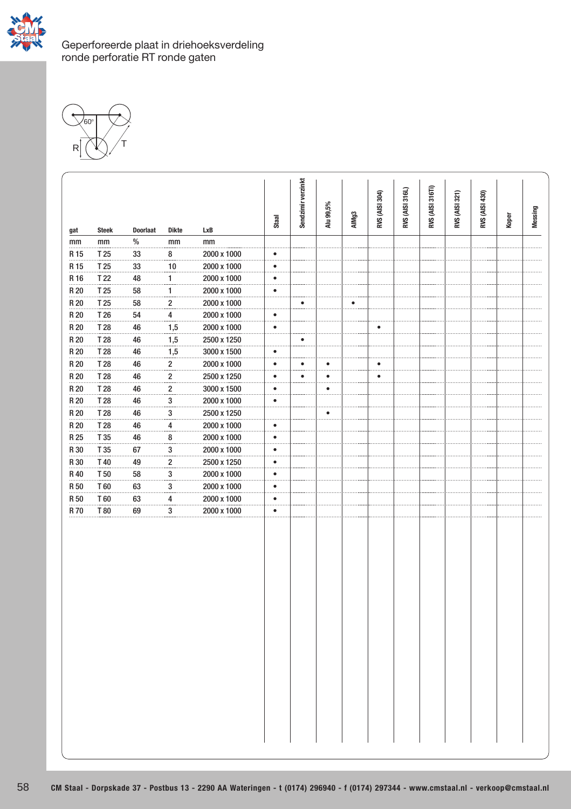



|                 |              |                 |                         |             |                       | Sendzimir verzinkt |           |           | RVS (AISI 304) | RVS (AISI 316L) | RVS (AISI 316Ti) | RVS (AISI 321) | <b>RVS (AISI 430)</b> |       |         |
|-----------------|--------------|-----------------|-------------------------|-------------|-----------------------|--------------------|-----------|-----------|----------------|-----------------|------------------|----------------|-----------------------|-------|---------|
| gat             | <b>Steek</b> | <b>Doorlaat</b> | <b>Dikte</b>            | LxB         | Staal                 |                    | Alu 99,5% | AIMg3     |                |                 |                  |                |                       | Koper | Messing |
| mm              | mm           | $\%$            | mm                      | mm          |                       |                    |           |           |                |                 |                  |                |                       |       |         |
| R <sub>15</sub> | T 25         | 33              | 8                       | 2000 x 1000 | $\bullet$             |                    |           |           |                |                 |                  |                |                       |       |         |
| R <sub>15</sub> | T 25         | 33              | 10                      | 2000 x 1000 | <br>٠                 |                    |           |           |                |                 |                  |                |                       |       |         |
| R 16            | T 22         | 48              | $\overline{1}$          | 2000 x 1000 | $\bullet$             |                    |           |           |                |                 |                  |                |                       |       |         |
| R 20            | T 25         | 58              | 1                       | 2000 x 1000 | $\bullet$             |                    |           |           |                |                 |                  |                |                       |       |         |
| R 20            | T 25         | 58              | $\boldsymbol{2}$        | 2000 x 1000 |                       | $\bullet$          |           | $\bullet$ |                |                 |                  |                |                       |       |         |
| R 20            | T 26         | 54              | 4                       | 2000 x 1000 | $\bullet$<br>         |                    |           |           |                |                 |                  |                |                       |       |         |
| R 20            | T 28         | 46              | 1,5                     | 2000 x 1000 | $\bullet$             |                    |           |           | $\bullet$      |                 |                  |                |                       |       |         |
| R 20            | T 28         | 46              | 1,5                     | 2500 x 1250 |                       | ٠                  |           |           |                |                 |                  |                |                       |       |         |
| R 20            | T 28         | 46              | 1,5                     | 3000 x 1500 | $\bullet$<br>$\cdots$ |                    |           |           |                |                 |                  |                |                       |       |         |
| R 20            | T 28         | 46              | $\overline{\mathbf{c}}$ | 2000 x 1000 | ٠                     | ٠                  | ٠         |           | $\bullet$      |                 |                  |                |                       |       |         |
| R 20            | T 28         | 46              | $\overline{2}$          | 2500 x 1250 | $\bullet$<br>.        | ٠                  | $\bullet$ |           | $\bullet$      |                 |                  |                |                       |       |         |
| R 20            | T 28         | 46              | $\boldsymbol{2}$        | 3000 x 1500 | $\bullet$             |                    | $\bullet$ |           |                |                 |                  |                |                       |       |         |
| R 20            | T 28         | 46              | 3                       | 2000 x 1000 | $\bullet$             |                    | 1.1.1.1   |           |                |                 |                  |                |                       |       |         |
| R 20            | T 28         | 46              | 3                       | 2500 x 1250 |                       |                    | ٠         |           |                |                 |                  |                |                       |       |         |
| R 20            | T 28         | 46              | 4                       | 2000 x 1000 | $\bullet$<br>         |                    |           |           |                |                 |                  |                |                       |       |         |
| R 25            | T 35         | 46              | $\overline{8}$          | 2000 x 1000 | $\bullet$             |                    |           |           |                |                 |                  |                |                       |       |         |
| R 30            | T 35         | 67              | 3                       | 2000 x 1000 | $\bullet$<br>         |                    |           |           |                |                 |                  |                |                       |       |         |
| R 30            | T 40         | 49              | $\overline{2}$          | 2500 x 1250 | $\bullet$<br>.        |                    |           |           |                |                 |                  |                |                       |       |         |
| R40             | T 50         | 58              | 3                       | 2000 x 1000 | $\bullet$             |                    |           |           |                |                 |                  |                |                       |       |         |
| R 50            | T 60         | 63              | 3                       | 2000 x 1000 | $\bullet$             |                    |           |           |                |                 |                  |                |                       |       |         |
| R 50            | T 60         | 63              | 4                       | 2000 x 1000 | $\bullet$             |                    |           |           |                |                 |                  |                |                       |       |         |
| <b>R70</b>      | T 80         | 69              | 3                       | 2000 x 1000 | $\bullet$             |                    |           |           |                |                 |                  |                |                       |       |         |
|                 |              |                 |                         |             |                       |                    |           |           |                |                 |                  |                |                       |       |         |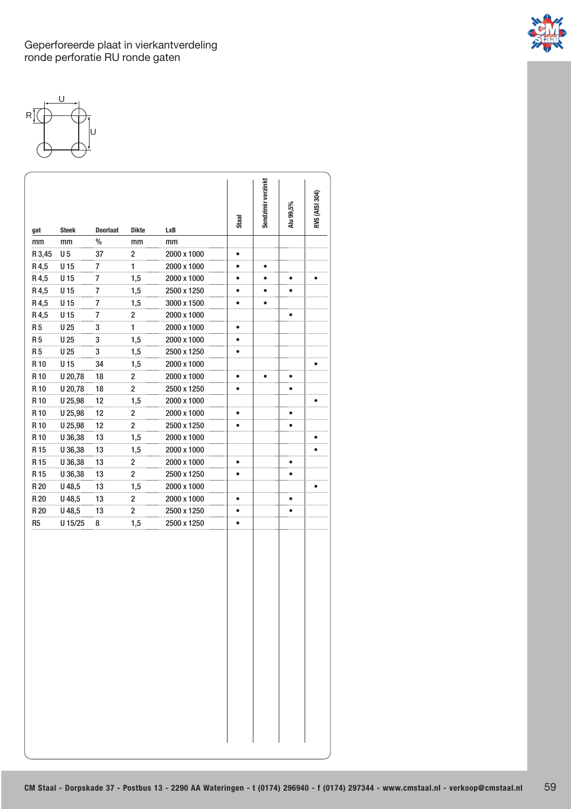

|        |                 |                 |                         |             | Staal     | Sendzimir verzinkt | 99,5%<br>릏 | RVS (AISI 304) |
|--------|-----------------|-----------------|-------------------------|-------------|-----------|--------------------|------------|----------------|
| gat    | <b>Steek</b>    | <b>Doorlaat</b> | Dikte                   | LxB         |           |                    |            |                |
| mm     | mm              | $\%$            | mm                      | mm          |           |                    |            |                |
| R 3,45 | U5              | 37              | 2                       | 2000 x 1000 | ä.        |                    |            |                |
| R 4,5  | U 15            | $\overline{I}$  | 1                       | 2000 x 1000 | ٠         |                    |            |                |
| R 4,5  | U 15            | $\overline{I}$  | 1,5                     | 2000 x 1000 | ٠         | ٠                  |            |                |
| R 4,5  | U 15            | 7               | 1,5                     | 2500 x 1250 | ٠         |                    |            |                |
| R4,5   | U 15            | 7               | 1,5                     | 3000 x 1500 | ٠         |                    |            |                |
| R 4,5  | U 15            | $\overline{I}$  | 2                       | 2000 x 1000 |           |                    |            |                |
| R 5    | U 25            | 3               | 1                       | 2000 x 1000 |           |                    |            |                |
| R 5    | U 25            | 3               | 1,5                     | 2000 x 1000 | $\bullet$ |                    |            |                |
| R 5    | U <sub>25</sub> | 3               | 1,5                     | 2500 x 1250 |           |                    |            |                |
| R 10   | U 15            | 34              | 1,5                     | 2000 x 1000 |           |                    |            |                |
| R 10   | U 20,78         | 18              | 2                       | 2000 x 1000 | ٠         |                    |            |                |
| R 10   | U 20,78         | 18              | 2                       | 2500 x 1250 | ٠         |                    |            |                |
| R 10   | U 25,98         | 12              | 1,5                     | 2000 x 1000 |           |                    |            |                |
| R 10   | U 25,98         | 12              | 2                       | 2000 x 1000 |           |                    |            |                |
| R 10   | U 25,98         | 12              | $\overline{\mathbf{c}}$ | 2500 x 1250 |           |                    |            |                |
| R 10   | U 36,38         | 13              | 1,5                     | 2000 x 1000 |           |                    |            |                |
| R 15   | U 36,38         | 13              | 1,5                     | 2000 x 1000 |           |                    |            |                |
| R 15   | U 36,38         | 13              | 2                       | 2000 x 1000 | ٠         |                    |            |                |
| R 15   | U 36,38         | 13              | 2                       | 2500 x 1250 | ٠         |                    |            |                |
| R 20   | U 48,5          | 13              | 1,5                     | 2000 x 1000 |           |                    |            |                |
| R 20   | U 48,5          | 13              | $\overline{2}$          | 2000 x 1000 |           |                    |            |                |
| R 20   | U 48,5          | 13              | 2                       | 2500 x 1250 |           |                    |            |                |
| R5     | U 15/25         | 8               | 1,5                     | 2500 x 1250 |           |                    |            |                |
|        |                 |                 |                         |             |           |                    |            |                |

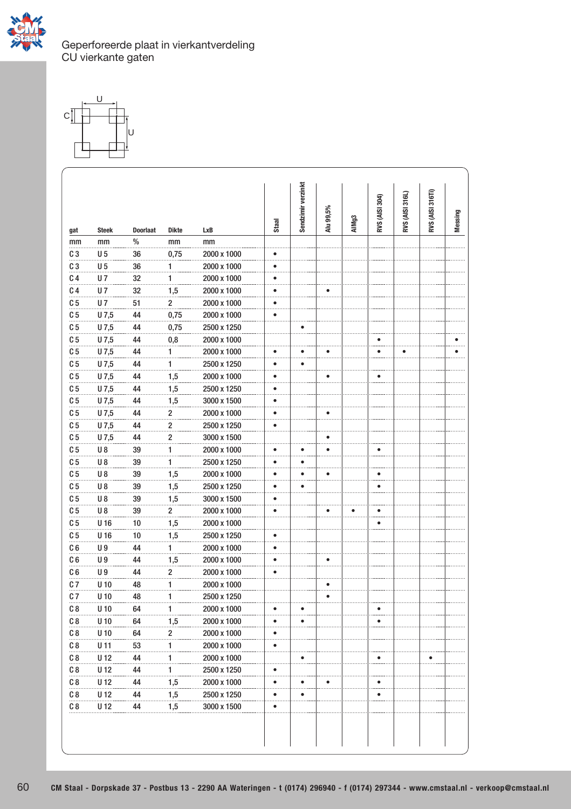

### Geperforeerde plaat in vierkantverdeling CU vierkante gaten



| gat            | <b>Steek</b>    | <b>Doorlaat</b> | <b>Dikte</b>            | LxB         | Staal         | Sendzimir verzinkt | Alu 99,5% | AIMg3 | RVS (AISI 304) | RVS (AISI 316L) | RVS (AISI 316TI) | Messing |
|----------------|-----------------|-----------------|-------------------------|-------------|---------------|--------------------|-----------|-------|----------------|-----------------|------------------|---------|
| mm             | mm              | $\%$            | mm                      | mm          |               |                    |           |       |                |                 |                  |         |
| C <sub>3</sub> | U <sub>5</sub>  | 36              | 0,75                    | 2000 x 1000 |               |                    |           |       |                |                 |                  |         |
| C <sub>3</sub> | U <sub>5</sub>  | 36              | 1                       | 2000 x 1000 | $\bullet$     |                    |           |       |                |                 |                  |         |
| C <sub>4</sub> | $U$ 7           | 32              | 1                       | 2000 x 1000 | ٠             |                    |           |       |                |                 |                  |         |
| C <sub>4</sub> | U <sub>7</sub>  | 32              | 1,5                     | 2000 x 1000 | .<br>٠        |                    |           |       |                |                 |                  |         |
| C <sub>5</sub> | $U$ 7           | 51              | $\overline{\mathbf{c}}$ | 2000 x 1000 |               |                    |           |       |                |                 |                  |         |
| C <sub>5</sub> | $U$ 7,5         | 44              | 0,75                    | 2000 x 1000 | ٠             |                    |           |       |                |                 |                  |         |
| C <sub>5</sub> | U7,5            | 44              | 0,75                    | 2500 x 1250 |               | ٠                  |           |       |                |                 |                  |         |
| C <sub>5</sub> | $U$ 7,5         | 44              | 0,8                     | 2000 x 1000 |               |                    |           |       |                |                 |                  |         |
| C <sub>5</sub> | $U$ 7,5         | 44              | $\overline{1}$          | 2000 x 1000 | ٠             | ٠                  |           |       | ٠              | ٠               |                  | ٠       |
| C <sub>5</sub> | $U$ 7,5         | 44              | $\overline{1}$          | 2500 x 1250 | ٠<br>ä.       | ٠                  |           |       |                |                 |                  |         |
| C <sub>5</sub> | U7,5            | 44              | 1,5                     | 2000 x 1000 | $\bullet$     |                    | ٠         |       | ė              |                 |                  |         |
| C <sub>5</sub> | U7,5            | 44              | 1,5                     | 2500 x 1250 | $\bullet$     |                    |           |       |                |                 |                  |         |
| C <sub>5</sub> | $U$ 7,5         | 44              | 1,5                     | 3000 x 1500 | ٠             |                    |           |       |                |                 |                  |         |
| C <sub>5</sub> | $U$ 7,5         | 44              | $\overline{\mathbf{c}}$ | 2000 x 1000 | ٠<br>         |                    |           |       |                |                 |                  |         |
| C <sub>5</sub> | U7,5            | 44              | $\overline{\mathbf{c}}$ | 2500 x 1250 | ٠             |                    |           |       |                |                 |                  |         |
| C <sub>5</sub> | U7,5            | 44              | $\overline{\mathbf{c}}$ | 3000 x 1500 |               |                    | ٠         |       |                |                 |                  |         |
| C <sub>5</sub> | <b>U8</b>       | 39              | 1                       | 2000 x 1000 | ٠             | ٠<br>i.            | ٠         |       | ٠              |                 |                  |         |
| C <sub>5</sub> | <b>U8</b>       | 39              | 1                       | 2500 x 1250 |               | ٠                  |           |       |                |                 |                  |         |
| C <sub>5</sub> | <b>U8</b>       | 39              | 1,5                     | 2000 x 1000 | ٠             | ٠<br>              |           |       |                |                 |                  |         |
| C <sub>5</sub> | <b>U8</b>       | 39              | 1,5                     | 2500 x 1250 | ٠             | ٠                  |           |       | ٠              |                 |                  |         |
| C <sub>5</sub> | <b>U8</b>       | 39              | 1,5                     | 3000 x 1500 | $\bullet$<br> |                    |           |       |                |                 |                  |         |
| C <sub>5</sub> | <b>U8</b>       | 39              | 2                       | 2000 x 1000 | $\bullet$     |                    |           | ٠     | $\bullet$      |                 |                  |         |
| C <sub>5</sub> | U <sub>16</sub> | 10              | 1,5                     | 2000 x 1000 |               |                    |           |       | ٠              |                 |                  |         |
| C <sub>5</sub> | U <sub>16</sub> | 10              | 1,5                     | 2500 x 1250 | ă.            |                    |           |       |                |                 |                  |         |
| C <sub>6</sub> | <b>U9</b>       | 44              | 1                       | 2000 x 1000 |               |                    |           |       |                |                 |                  |         |
| C6             | U9              | 44              | 1,5                     | 2000 x 1000 | ٠<br>         |                    |           |       |                |                 |                  |         |
| C <sub>6</sub> | U9              | 44              | $\overline{\mathbf{c}}$ | 2000 x 1000 | ٠             |                    |           |       |                |                 |                  |         |
| C <sub>7</sub> | $U$ 10          | 48              | $\overline{1}$          | 2000 x 1000 |               |                    |           |       |                |                 |                  |         |
| C7             | $U$ 10          | 48              | $\overline{1}$          | 2500 x 1250 |               |                    | ٠         |       |                |                 |                  |         |
| C8             | $U$ 10          | 64              | 1                       | 2000 x 1000 | ٠             | ٠                  |           |       | ٠              |                 |                  |         |
| C8             | $U$ 10          | 64              | 1,5                     | 2000 x 1000 | ċ<br>         | ٠                  |           |       | ė              |                 |                  |         |
| C8             | $U$ 10          | 64              | 2                       | 2000 x 1000 | $\bullet$     |                    |           |       |                |                 |                  |         |
| C8             | U 11            | 53              | 1                       | 2000 x 1000 | $\bullet$     | i i s              |           |       | a co           |                 |                  |         |
| C8             | U <sub>12</sub> | 44              | $\mathbf{1}$            | 2000 x 1000 |               | ٠                  |           |       | ٠              |                 |                  |         |
| C8             | U <sub>12</sub> | 44              | 1                       | 2500 x 1250 | ٠             |                    |           |       |                |                 |                  |         |
| C8             | U 12            | 44              | 1,5                     | 2000 x 1000 | ٠<br>         | ٠<br>.             | ٠         |       | ٠              |                 |                  |         |
| C8             | U <sub>12</sub> | 44              | 1,5                     | 2500 x 1250 | ٠             | $\bullet$          |           |       | $\bullet$      |                 |                  |         |
| C8             | U <sub>12</sub> | 44              | 1,5                     | 3000 x 1500 | ċ             |                    |           |       |                |                 |                  |         |
|                |                 |                 |                         |             |               |                    |           |       |                |                 |                  |         |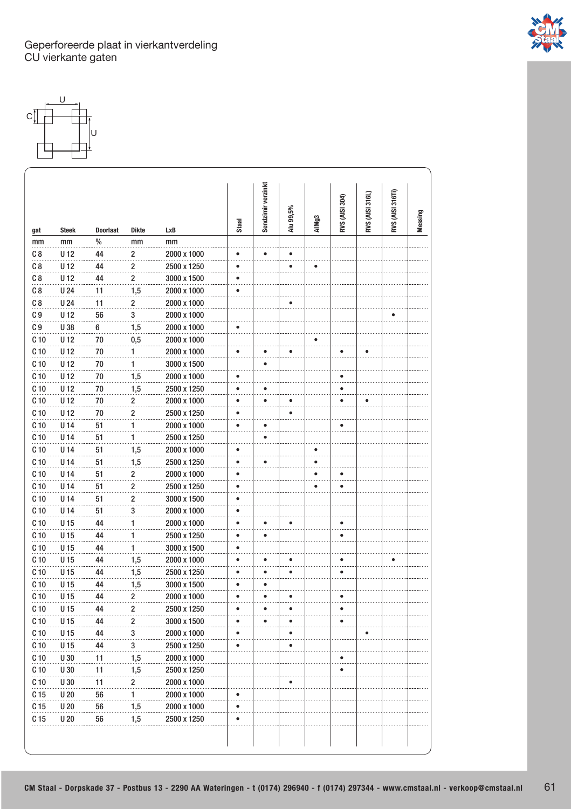# Geperforeerde plaat in vierkantverdeling CU vierkante gaten

C U U

| gat             | <b>Steek</b>    | <b>Doorlaat</b> | <b>Dikte</b>                            | LxB         | Staal                     | Sendzimir verzinkt | Alu 99,5%     | AIMg3 | RVS (AISI 304) | RVS (AISI 316L) | RVS (AISI 316TI) | Messing |
|-----------------|-----------------|-----------------|-----------------------------------------|-------------|---------------------------|--------------------|---------------|-------|----------------|-----------------|------------------|---------|
| mm              | mm              | $\%$            | mm                                      | mm          |                           |                    |               |       |                |                 |                  |         |
| C <sub>8</sub>  | U <sub>12</sub> | 44              | $\overline{2}$                          | 2000 x 1000 | $\bullet$                 |                    |               |       |                |                 |                  |         |
| C8              | U 12            | 44              | $\overline{\mathbf{c}}$                 | 2500 x 1250 | ٠                         |                    | ٠             |       |                |                 |                  |         |
| C <sub>8</sub>  | U <sub>12</sub> | 44              | $\overline{2}$                          | 3000 x 1500 | $\bullet$                 |                    |               |       |                |                 |                  |         |
| C <sub>8</sub>  | U <sub>24</sub> | 11              | 1,5                                     | 2000 x 1000 | ٠                         |                    |               |       |                |                 |                  |         |
| C8              | U 24            | 11              | $\overline{\mathbf{c}}$                 | 2000 x 1000 |                           |                    |               |       |                |                 |                  |         |
| C <sub>9</sub>  | U <sub>12</sub> | 56              | 3                                       | 2000 x 1000 |                           |                    |               |       |                |                 | ٠                |         |
| C <sub>9</sub>  | U 38            | 6               | 1,5                                     | 2000 x 1000 |                           |                    |               |       |                |                 |                  |         |
| C <sub>10</sub> | U <sub>12</sub> | 70              | 0,5                                     | 2000 x 1000 |                           |                    |               |       |                |                 |                  |         |
| C <sub>10</sub> | U <sub>12</sub> | 70              | $\overline{1}$                          | 2000 x 1000 | ٠                         |                    |               |       | ٠              |                 |                  |         |
| C <sub>10</sub> | U <sub>12</sub> | 70              | $\overline{1}$                          | 3000 x 1500 |                           | ٠                  |               |       |                |                 |                  |         |
| C <sub>10</sub> | U <sub>12</sub> | 70              | 1,5                                     | 2000 x 1000 | ٠                         |                    |               |       | ٠              |                 |                  |         |
| C <sub>10</sub> | U <sub>12</sub> | 70              | 1,5                                     | 2500 x 1250 |                           |                    |               |       |                |                 |                  |         |
| C <sub>10</sub> | U <sub>12</sub> | 70              | 2                                       | 2000 x 1000 | ٠                         | ٠                  |               |       | ٠              |                 |                  |         |
| C <sub>10</sub> | U <sub>12</sub> | 70              | $\overline{c}$                          | 2500 x 1250 | ٠                         |                    | $\bullet$     |       |                |                 |                  |         |
| C <sub>10</sub> | U <sub>14</sub> | 51              | $\mathbf{1}$                            | 2000 x 1000 | ä.<br>٠                   | a da<br>٠          |               |       | i i s<br>٠     |                 |                  |         |
| C <sub>10</sub> | U 14            | 51              | 1                                       | 2500 x 1250 |                           | $\bullet$          |               |       |                |                 |                  |         |
| C <sub>10</sub> | U <sub>14</sub> | 51              | 1,5                                     | 2000 x 1000 | ٠                         |                    |               |       |                |                 |                  |         |
| C <sub>10</sub> | U <sub>14</sub> | 51              | 1,5                                     | 2500 x 1250 | $\ddot{\phantom{a}}$<br>٠ |                    |               |       |                |                 |                  |         |
| C <sub>10</sub> | U <sub>14</sub> | 51              | 2                                       | 2000 x 1000 | $\bullet$                 |                    |               |       |                |                 |                  |         |
| C <sub>10</sub> | U <sub>14</sub> | 51              | $\overline{2}$                          | 2500 x 1250 | <br>٠                     |                    |               |       | ò.             |                 |                  |         |
| C <sub>10</sub> | U <sub>14</sub> | 51              | $\overline{\mathbf{c}}$                 | 3000 x 1500 | $\bullet$                 |                    |               |       |                |                 |                  |         |
| C <sub>10</sub> | U 14            | 51              | $\overline{\mathbf{3}}$                 | 2000 x 1000 | ٠                         |                    |               |       |                |                 |                  |         |
| C <sub>10</sub> | U <sub>15</sub> | 44              | 1                                       | 2000 x 1000 | ٠                         |                    |               |       | ٠              |                 |                  |         |
| C <sub>10</sub> | U 15            | 44              | 1                                       | 2500 x 1250 | ٠                         |                    |               |       | ٠              |                 |                  |         |
| C <sub>10</sub> | U 15            | 44              | 1                                       | 3000 x 1500 | ш<br>$\bullet$            |                    |               |       |                |                 |                  |         |
| C <sub>10</sub> | U <sub>15</sub> | 44              | 1,5                                     | 2000 x 1000 | ٠                         | ٠                  | ٠             |       | ٠              |                 | ٠                |         |
| C <sub>10</sub> | U 15            | 44              | 1,5                                     | 2500 x 1250 | ٠                         | ٠                  | ٠             |       | ٠              |                 |                  |         |
| C <sub>10</sub> | U <sub>15</sub> | 44              | 1,5                                     | 3000 x 1500 | $\bullet$                 | ٠                  |               |       |                |                 |                  |         |
| C <sub>10</sub> | U 15            | 44              | $\overline{c}$                          | 2000 x 1000 | ٠                         |                    |               |       | ٠              |                 |                  |         |
| C <sub>10</sub> | U 15            | 44              | $\overline{2}$                          | 2500 x 1250 | ٠                         | ٠                  | ٠             |       | ٠              |                 |                  |         |
| C <sub>10</sub> | U <sub>15</sub> | 44              | $\overline{2}$                          | 3000 x 1500 | ٠                         | ٠                  | ٠             |       | ٠              |                 |                  |         |
| C <sub>10</sub> | U <sub>15</sub> | 44              |                                         | 2000 x 1000 | <br>$\bullet$             |                    | <br>$\bullet$ |       |                |                 |                  |         |
| C <sub>10</sub> | U 15            | 44              | $\overline{\mathbf{3}}$<br>3            | 2500 x 1250 | ă.<br>٠                   |                    | ٠             |       |                |                 |                  |         |
| C <sub>10</sub> | U 30            | 11              | 1,5                                     | 2000 x 1000 |                           |                    |               |       | ė              |                 |                  |         |
| C <sub>10</sub> | U30             | 11              | 1,5                                     | 2500 x 1250 |                           |                    |               |       | $\ddotsc$<br>٠ |                 |                  |         |
| C <sub>10</sub> | U 30            | 11              |                                         | 2000 x 1000 |                           |                    | ٠             |       |                |                 |                  |         |
| C <sub>15</sub> | U <sub>20</sub> |                 | $\overline{\mathbf{c}}$<br>$\mathbf{1}$ | 2000 x 1000 | ٠                         |                    |               |       |                |                 |                  |         |
|                 |                 | 56              |                                         |             |                           |                    |               |       |                |                 |                  |         |
| C <sub>15</sub> | U 20            | 56              | 1,5                                     | 2000 x 1000 | ٠                         |                    |               |       |                |                 |                  |         |
| C <sub>15</sub> | U 20            | 56              | 1,5                                     | 2500 x 1250 | ٠                         |                    |               |       |                |                 |                  |         |